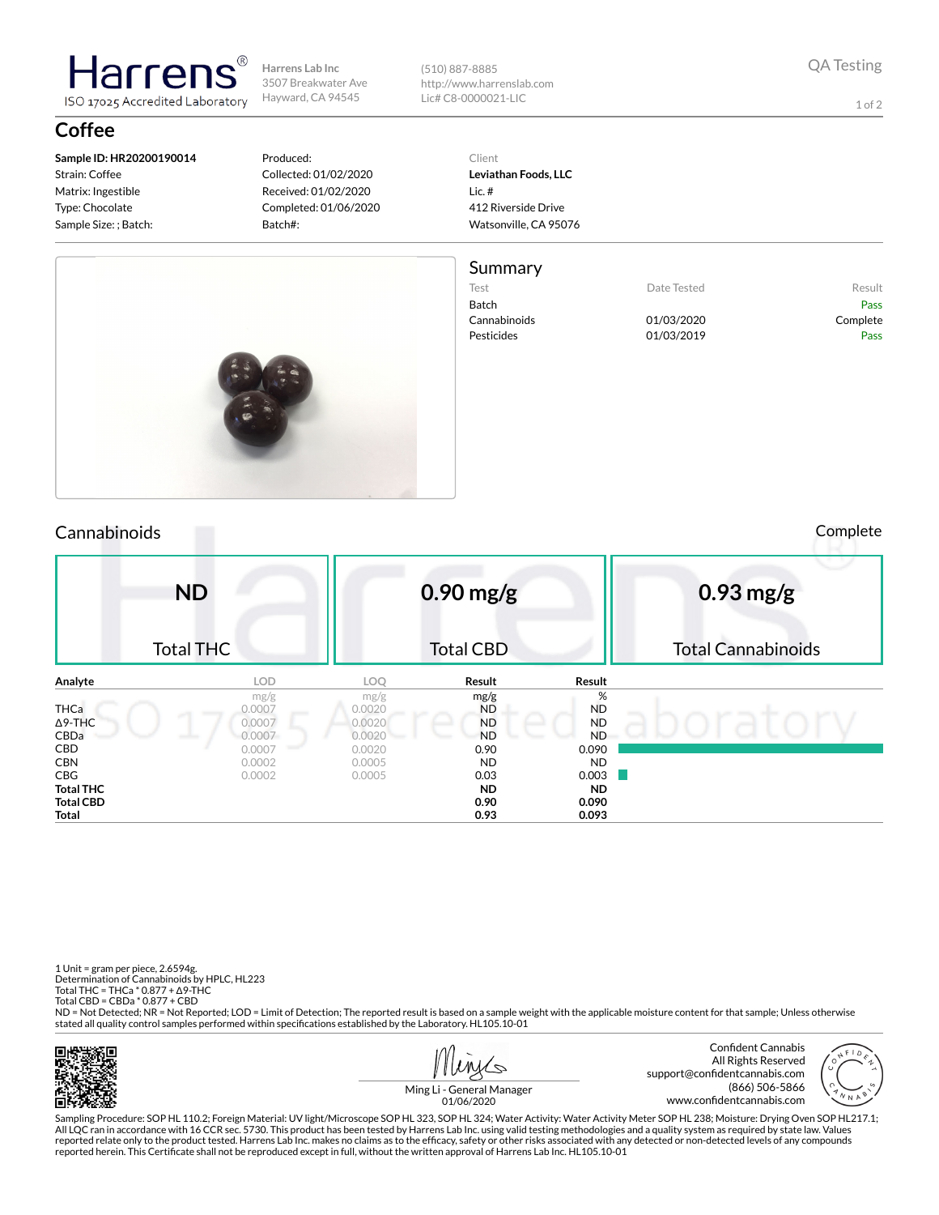

(510) 887-8885 http://www.harrenslab.com Lic# C8-0000021-LIC

1 of 2

## **Coffee**

**Sample ID: HR20200190014** Strain: Coffee Matrix: Ingestible Type: Chocolate Sample Size: ; Batch:

larrer

ISO 17025 Accredited Laboratory

#### Produced: Collected: 01/02/2020 Received: 01/02/2020 Completed: 01/06/2020 Batch#:

Client **Leviathan Foods, LLC** Lic. # 412 Riverside Drive Watsonville, CA 95076

### Summary

- Test **Date Tested** Result Batch Pass Cannabinoids 01/03/2020 Complete Pesticides 01/03/2019 Pass
	-



Cannabinoids Complete

|                                               | <b>ND</b><br><b>Total THC</b>      |                                    | $0.90$ mg/g<br><b>Total CBD</b>             |                                                 | $0.93$ mg/g<br><b>Total Cannabinoids</b> |  |  |  |
|-----------------------------------------------|------------------------------------|------------------------------------|---------------------------------------------|-------------------------------------------------|------------------------------------------|--|--|--|
| Analyte                                       | <b>LOD</b>                         | LOQ                                | Result                                      | Result                                          |                                          |  |  |  |
| THCa<br>$\Delta$ 9-THC<br>CBDa                | mg/g<br>0.0007<br>0.0007<br>0.0007 | mg/g<br>0.0020<br>0.0020<br>0.0020 | mg/g<br><b>ND</b><br><b>ND</b><br><b>ND</b> | %<br><b>ND</b><br><b>ND</b><br>- 1<br><b>ND</b> |                                          |  |  |  |
| <b>CBD</b><br><b>CBN</b><br>CBG               | 0.0007<br>0.0002<br>0.0002         | 0.0020<br>0.0005<br>0.0005         | 0.90<br><b>ND</b><br>0.03                   | 0.090<br><b>ND</b><br>0.003                     |                                          |  |  |  |
| <b>Total THC</b><br><b>Total CBD</b><br>Total |                                    |                                    | <b>ND</b><br>0.90<br>0.93                   | <b>ND</b><br>0.090<br>0.093                     |                                          |  |  |  |

1 Unit = gram per piece, 2.6594g. Determination of Cannabinoids by HPLC, HL223 Total THC = THCa \* 0.877 + ∆9-THC Total CBD = CBDa \* 0.877 + CBD

ND = Not Detected; NR = Not Reported; LOD = Limit of Detection; The reported result is based on a sample weight with the applicable moisture content for that sample; Unless otherwise stated all quality control samples performed within specifications established by the Laboratory. HL105.10-01







Ming Li - General Manager 01/06/2020

Sampling Procedure: SOP HL 110.2; Foreign Material: UV light/Microscope SOP HL 323, SOP HL 324; Water Activity: Water Activity Meter SOP HL 238; Moisture: Drying Oven SOP HL217.1; All LQC ran in accordance with 16 CCR sec. 5730. This product has been tested by Harrens Lab Inc. using valid testing methodologies and a quality system as required by state law. Values reported relate only to the product tested. Harrens Lab Inc. makes no claims as to the efficacy, safety or other risks associated with any detected or non-detected levels of any compounds<br>reported herein. This Certificate